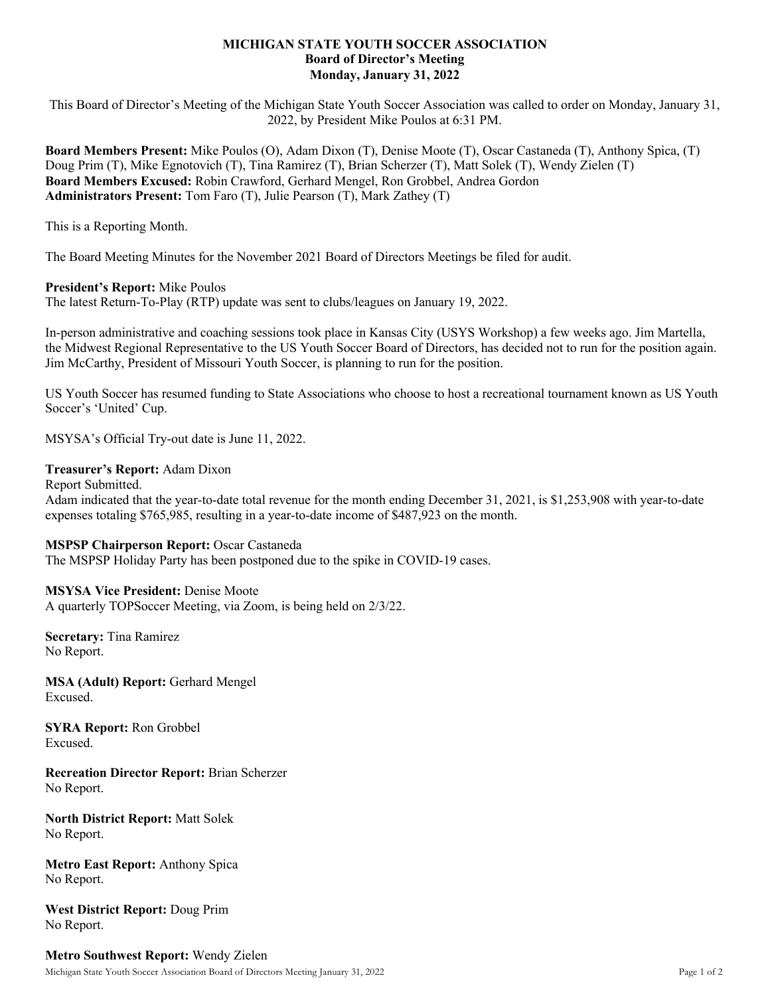# **MICHIGAN STATE YOUTH SOCCER ASSOCIATION Board of Director's Meeting Monday, January 31, 2022**

This Board of Director's Meeting of the Michigan State Youth Soccer Association was called to order on Monday, January 31, 2022, by President Mike Poulos at 6:31 PM.

**Board Members Present:** Mike Poulos (O), Adam Dixon (T), Denise Moote (T), Oscar Castaneda (T), Anthony Spica, (T) Doug Prim (T), Mike Egnotovich (T), Tina Ramirez (T), Brian Scherzer (T), Matt Solek (T), Wendy Zielen (T) **Board Members Excused:** Robin Crawford, Gerhard Mengel, Ron Grobbel, Andrea Gordon **Administrators Present:** Tom Faro (T), Julie Pearson (T), Mark Zathey (T)

This is a Reporting Month.

The Board Meeting Minutes for the November 2021 Board of Directors Meetings be filed for audit.

# **President's Report:** Mike Poulos

The latest Return-To-Play (RTP) update was sent to clubs/leagues on January 19, 2022.

In-person administrative and coaching sessions took place in Kansas City (USYS Workshop) a few weeks ago. Jim Martella, the Midwest Regional Representative to the US Youth Soccer Board of Directors, has decided not to run for the position again. Jim McCarthy, President of Missouri Youth Soccer, is planning to run for the position.

US Youth Soccer has resumed funding to State Associations who choose to host a recreational tournament known as US Youth Soccer's 'United' Cup.

MSYSA's Official Try-out date is June 11, 2022.

# **Treasurer's Report:** Adam Dixon

Report Submitted. Adam indicated that the year-to-date total revenue for the month ending December 31, 2021, is \$1,253,908 with year-to-date expenses totaling \$765,985, resulting in a year-to-date income of \$487,923 on the month.

### **MSPSP Chairperson Report:** Oscar Castaneda

The MSPSP Holiday Party has been postponed due to the spike in COVID-19 cases.

### **MSYSA Vice President:** Denise Moote

A quarterly TOPSoccer Meeting, via Zoom, is being held on 2/3/22.

**Secretary:** Tina Ramirez No Report.

**MSA (Adult) Report:** Gerhard Mengel Excused.

**SYRA Report:** Ron Grobbel Excused.

**Recreation Director Report:** Brian Scherzer No Report.

**North District Report:** Matt Solek No Report.

**Metro East Report:** Anthony Spica No Report.

**West District Report:** Doug Prim No Report.

# **Metro Southwest Report:** Wendy Zielen

Michigan State Youth Soccer Association Board of Directors Meeting January 31, 2022 Page 1 of 2